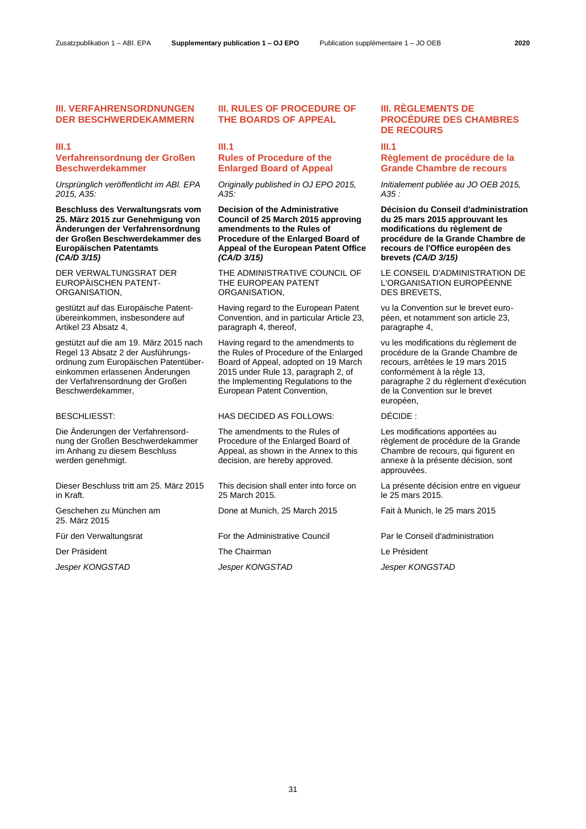### **III. VERFAHRENSORDNUNGEN DER BESCHWERDEKAMMERN**

# **III.1 Verfahrensordnung der Großen**

# **Beschwerdekammer**

*Ursprünglich veröffentlicht im ABl. EPA 2015, A35:*

**Beschluss des Verwaltungsrats vom 25. März 2015 zur Genehmigung von Änderungen der Verfahrensordnung der Großen Beschwerdekammer des Europäischen Patentamts**  *(CA/D 3/15)*

DER VERWALTUNGSRAT DER EUROPÄISCHEN PATENT-ORGANISATION,

gestützt auf das Europäische Patentübereinkommen, insbesondere auf Artikel 23 Absatz 4,

gestützt auf die am 19. März 2015 nach Regel 13 Absatz 2 der Ausführungsordnung zum Europäischen Patentübereinkommen erlassenen Änderungen der Verfahrensordnung der Großen Beschwerdekammer,

Die Änderungen der Verfahrensordnung der Großen Beschwerdekammer im Anhang zu diesem Beschluss werden genehmigt.

Dieser Beschluss tritt am 25. März 2015 in Kraft.

Geschehen zu München am 25. März 2015

# **III. RULES OF PROCEDURE OF THE BOARDS OF APPEAL**

# **III.1 Rules of Procedure of the Enlarged Board of Appeal**

*Originally published in OJ EPO 2015, A35:*

**Decision of the Administrative Council of 25 March 2015 approving amendments to the Rules of Procedure of the Enlarged Board of Appeal of the European Patent Office**  *(CA/D 3/15)*

THE ADMINISTRATIVE COUNCIL OF THE EUROPEAN PATENT ORGANISATION,

Having regard to the European Patent Convention, and in particular Article 23, paragraph 4, thereof,

Having regard to the amendments to the Rules of Procedure of the Enlarged Board of Appeal, adopted on 19 March 2015 under Rule 13, paragraph 2, of the Implementing Regulations to the European Patent Convention,

BESCHLIESST: HAS DECIDED AS FOLLOWS: DÉCIDE :

The amendments to the Rules of Procedure of the Enlarged Board of Appeal, as shown in the Annex to this decision, are hereby approved.

This decision shall enter into force on 25 March 2015.

Done at Munich, 25 March 2015 Fait à Munich, le 25 mars 2015

Für den Verwaltungsrat For the Administrative Council Par le Conseil d'administration

Der Präsident The Chairman Le Président

*Jesper KONGSTAD Jesper KONGSTAD Jesper KONGSTAD*

# **III. RÈGLEMENTS DE PROCÉDURE DES CHAMBRES DE RECOURS**

### **III.1**

# **Règlement de procédure de la Grande Chambre de recours**

*Initialement publiée au JO OEB 2015, A35 :*

**Décision du Conseil d'administration du 25 mars 2015 approuvant les modifications du règlement de procédure de la Grande Chambre de recours de l'Office européen des brevets** *(CA/D 3/15)*

LE CONSEIL D'ADMINISTRATION DE L'ORGANISATION EUROPÉENNE DES BREVETS,

vu la Convention sur le brevet européen, et notamment son article 23, paragraphe 4,

vu les modifications du règlement de procédure de la Grande Chambre de recours, arrêtées le 19 mars 2015 conformément à la règle 13, paragraphe 2 du règlement d'exécution de la Convention sur le brevet européen,

Les modifications apportées au règlement de procédure de la Grande Chambre de recours, qui figurent en annexe à la présente décision, sont approuvées.

La présente décision entre en vigueur le 25 mars 2015.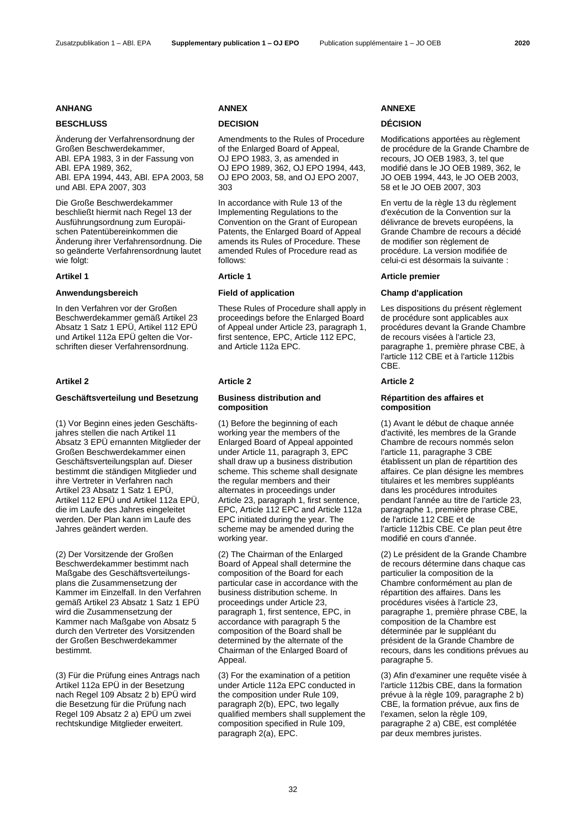Änderung der Verfahrensordnung der Großen Beschwerdekammer, ABl. EPA 1983, 3 in der Fassung von ABl. EPA 1989, 362, ABl. EPA 1994, 443, ABl. EPA 2003, 58 und ABl. EPA 2007, 303

Die Große Beschwerdekammer beschließt hiermit nach Regel 13 der Ausführungsordnung zum Europäischen Patentübereinkommen die Änderung ihrer Verfahrensordnung. Die so geänderte Verfahrensordnung lautet wie folgt:

### **Anwendungsbereich Field of application Champ d'application**

In den Verfahren vor der Großen Beschwerdekammer gemäß Artikel 23 Absatz 1 Satz 1 EPÜ, Artikel 112 EPÜ und Artikel 112a EPÜ gelten die Vorschriften dieser Verfahrensordnung.

# **Geschäftsverteilung und Besetzung Business distribution and**

(1) Vor Beginn eines jeden Geschäftsjahres stellen die nach Artikel 11 Absatz 3 EPÜ ernannten Mitglieder der Großen Beschwerdekammer einen Geschäftsverteilungsplan auf. Dieser bestimmt die ständigen Mitglieder und ihre Vertreter in Verfahren nach Artikel 23 Absatz 1 Satz 1 EPÜ, Artikel 112 EPÜ und Artikel 112a EPÜ, die im Laufe des Jahres eingeleitet werden. Der Plan kann im Laufe des Jahres geändert werden.

(2) Der Vorsitzende der Großen Beschwerdekammer bestimmt nach Maßgabe des Geschäftsverteilungsplans die Zusammensetzung der Kammer im Einzelfall. In den Verfahren gemäß Artikel 23 Absatz 1 Satz 1 EPÜ wird die Zusammensetzung der Kammer nach Maßgabe von Absatz 5 durch den Vertreter des Vorsitzenden der Großen Beschwerdekammer bestimmt.

(3) Für die Prüfung eines Antrags nach Artikel 112a EPÜ in der Besetzung nach Regel 109 Absatz 2 b) EPÜ wird die Besetzung für die Prüfung nach Regel 109 Absatz 2 a) EPÜ um zwei rechtskundige Mitglieder erweitert.

# **BESCHLUSS DECISION DÉCISION**

Amendments to the Rules of Procedure of the Enlarged Board of Appeal, OJ EPO 1983, 3, as amended in OJ EPO 1989, 362, OJ EPO 1994, 443, OJ EPO 2003, 58, and OJ EPO 2007, 303

In accordance with Rule 13 of the Implementing Regulations to the Convention on the Grant of European Patents, the Enlarged Board of Appeal amends its Rules of Procedure. These amended Rules of Procedure read as follows:

These Rules of Procedure shall apply in proceedings before the Enlarged Board of Appeal under Article 23, paragraph 1, first sentence, EPC, Article 112 EPC, and Article 112a EPC.

### **Artikel 2 Article 2 Article 2**

# **composition**

(1) Before the beginning of each working year the members of the Enlarged Board of Appeal appointed under Article 11, paragraph 3, EPC shall draw up a business distribution scheme. This scheme shall designate the regular members and their alternates in proceedings under Article 23, paragraph 1, first sentence, EPC, Article 112 EPC and Article 112a EPC initiated during the year. The scheme may be amended during the working year.

(2) The Chairman of the Enlarged Board of Appeal shall determine the composition of the Board for each particular case in accordance with the business distribution scheme. In proceedings under Article 23, paragraph 1, first sentence, EPC, in accordance with paragraph 5 the composition of the Board shall be determined by the alternate of the Chairman of the Enlarged Board of Appeal.

(3) For the examination of a petition under Article 112a EPC conducted in the composition under Rule 109, paragraph 2(b), EPC, two legally qualified members shall supplement the composition specified in Rule 109, paragraph 2(a), EPC.

### **ANHANG ANNEX ANNEXE**

Modifications apportées au règlement de procédure de la Grande Chambre de recours, JO OEB 1983, 3, tel que modifié dans le JO OEB 1989, 362, le JO OEB 1994, 443, le JO OEB 2003, 58 et le JO OEB 2007, 303

En vertu de la règle 13 du règlement d'exécution de la Convention sur la délivrance de brevets européens, la Grande Chambre de recours a décidé de modifier son règlement de procédure. La version modifiée de celui-ci est désormais la suivante :

# **Artikel 1 Article 1 Article premier**

Les dispositions du présent règlement de procédure sont applicables aux procédures devant la Grande Chambre de recours visées à l'article 23, paragraphe 1, première phrase CBE, à l'article 112 CBE et à l'article 112bis CBE.

# **Répartition des affaires et composition**

(1) Avant le début de chaque année d'activité, les membres de la Grande Chambre de recours nommés selon l'article 11, paragraphe 3 CBE établissent un plan de répartition des affaires. Ce plan désigne les membres titulaires et les membres suppléants dans les procédures introduites pendant l'année au titre de l'article 23, paragraphe 1, première phrase CBE, de l'article 112 CBE et de l'article 112bis CBE. Ce plan peut être modifié en cours d'année.

(2) Le président de la Grande Chambre de recours détermine dans chaque cas particulier la composition de la Chambre conformément au plan de répartition des affaires. Dans les procédures visées à l'article 23, paragraphe 1, première phrase CBE, la composition de la Chambre est déterminée par le suppléant du président de la Grande Chambre de recours, dans les conditions prévues au paragraphe 5.

(3) Afin d'examiner une requête visée à l'article 112bis CBE, dans la formation prévue à la règle 109, paragraphe 2 b) CBE, la formation prévue, aux fins de l'examen, selon la règle 109, paragraphe 2 a) CBE, est complétée par deux membres juristes.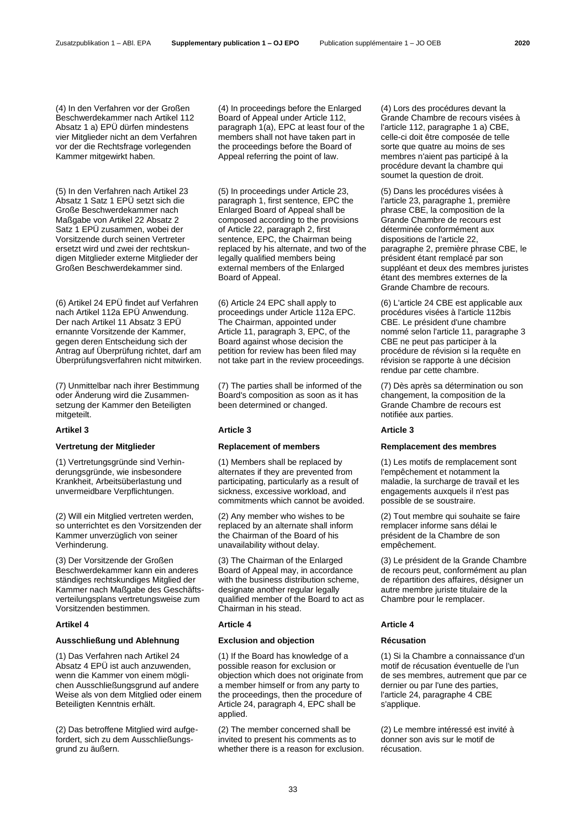(4) In den Verfahren vor der Großen Beschwerdekammer nach Artikel 112 Absatz 1 a) EPÜ dürfen mindestens vier Mitglieder nicht an dem Verfahren vor der die Rechtsfrage vorlegenden Kammer mitgewirkt haben.

(5) In den Verfahren nach Artikel 23 Absatz 1 Satz 1 EPÜ setzt sich die Große Beschwerdekammer nach Maßgabe von Artikel 22 Absatz 2 Satz 1 EPÜ zusammen, wobei der Vorsitzende durch seinen Vertreter ersetzt wird und zwei der rechtskundigen Mitglieder externe Mitglieder der Großen Beschwerdekammer sind.

(6) Artikel 24 EPÜ findet auf Verfahren nach Artikel 112a EPÜ Anwendung. Der nach Artikel 11 Absatz 3 EPÜ ernannte Vorsitzende der Kammer, gegen deren Entscheidung sich der Antrag auf Überprüfung richtet, darf am Überprüfungsverfahren nicht mitwirken.

(7) Unmittelbar nach ihrer Bestimmung oder Änderung wird die Zusammensetzung der Kammer den Beteiligten mitgeteilt.

### **Artikel 3 Article 3 Article 3**

# **Vertretung der Mitglieder Replacement of members Remplacement des membres**

(1) Vertretungsgründe sind Verhinderungsgründe, wie insbesondere Krankheit, Arbeitsüberlastung und unvermeidbare Verpflichtungen.

(2) Will ein Mitglied vertreten werden, so unterrichtet es den Vorsitzenden der Kammer unverzüglich von seiner Verhinderung.

(3) Der Vorsitzende der Großen Beschwerdekammer kann ein anderes ständiges rechtskundiges Mitglied der Kammer nach Maßgabe des Geschäftsverteilungsplans vertretungsweise zum Vorsitzenden bestimmen.

# **Ausschließung und Ablehnung Exclusion and objection Récusation**

(1) Das Verfahren nach Artikel 24 Absatz 4 EPÜ ist auch anzuwenden, wenn die Kammer von einem möglichen Ausschließungsgrund auf andere Weise als von dem Mitglied oder einem Beteiligten Kenntnis erhält.

(2) Das betroffene Mitglied wird aufgefordert, sich zu dem Ausschließungsgrund zu äußern.

(4) In proceedings before the Enlarged Board of Appeal under Article 112, paragraph 1(a), EPC at least four of the members shall not have taken part in the proceedings before the Board of Appeal referring the point of law.

(5) In proceedings under Article 23, paragraph 1, first sentence, EPC the Enlarged Board of Appeal shall be composed according to the provisions of Article 22, paragraph 2, first sentence, EPC, the Chairman being replaced by his alternate, and two of the legally qualified members being external members of the Enlarged Board of Appeal.

(6) Article 24 EPC shall apply to proceedings under Article 112a EPC. The Chairman, appointed under Article 11, paragraph 3, EPC, of the Board against whose decision the petition for review has been filed may not take part in the review proceedings.

(7) The parties shall be informed of the Board's composition as soon as it has been determined or changed.

(1) Members shall be replaced by alternates if they are prevented from participating, particularly as a result of sickness, excessive workload, and commitments which cannot be avoided.

(2) Any member who wishes to be replaced by an alternate shall inform the Chairman of the Board of his unavailability without delay.

(3) The Chairman of the Enlarged Board of Appeal may, in accordance with the business distribution scheme, designate another regular legally qualified member of the Board to act as Chairman in his stead.

### **Artikel 4 Article 4 Article 4**

(1) If the Board has knowledge of a possible reason for exclusion or objection which does not originate from a member himself or from any party to the proceedings, then the procedure of Article 24, paragraph 4, EPC shall be applied.

(2) The member concerned shall be invited to present his comments as to whether there is a reason for exclusion. (4) Lors des procédures devant la Grande Chambre de recours visées à l'article 112, paragraphe 1 a) CBE, celle-ci doit être composée de telle sorte que quatre au moins de ses membres n'aient pas participé à la procédure devant la chambre qui soumet la question de droit.

(5) Dans les procédures visées à l'article 23, paragraphe 1, première phrase CBE, la composition de la Grande Chambre de recours est déterminée conformément aux dispositions de l'article 22, paragraphe 2, première phrase CBE, le président étant remplacé par son suppléant et deux des membres juristes étant des membres externes de la Grande Chambre de recours.

(6) L'article 24 CBE est applicable aux procédures visées à l'article 112bis CBE. Le président d'une chambre nommé selon l'article 11, paragraphe 3 CBE ne peut pas participer à la procédure de révision si la requête en révision se rapporte à une décision rendue par cette chambre.

(7) Dès après sa détermination ou son changement, la composition de la Grande Chambre de recours est notifiée aux parties.

(1) Les motifs de remplacement sont l'empêchement et notamment la maladie, la surcharge de travail et les engagements auxquels il n'est pas possible de se soustraire.

(2) Tout membre qui souhaite se faire remplacer informe sans délai le président de la Chambre de son empêchement.

(3) Le président de la Grande Chambre de recours peut, conformément au plan de répartition des affaires, désigner un autre membre juriste titulaire de la Chambre pour le remplacer.

(1) Si la Chambre a connaissance d'un motif de récusation éventuelle de l'un de ses membres, autrement que par ce dernier ou par l'une des parties, l'article 24, paragraphe 4 CBE s'applique.

(2) Le membre intéressé est invité à donner son avis sur le motif de récusation.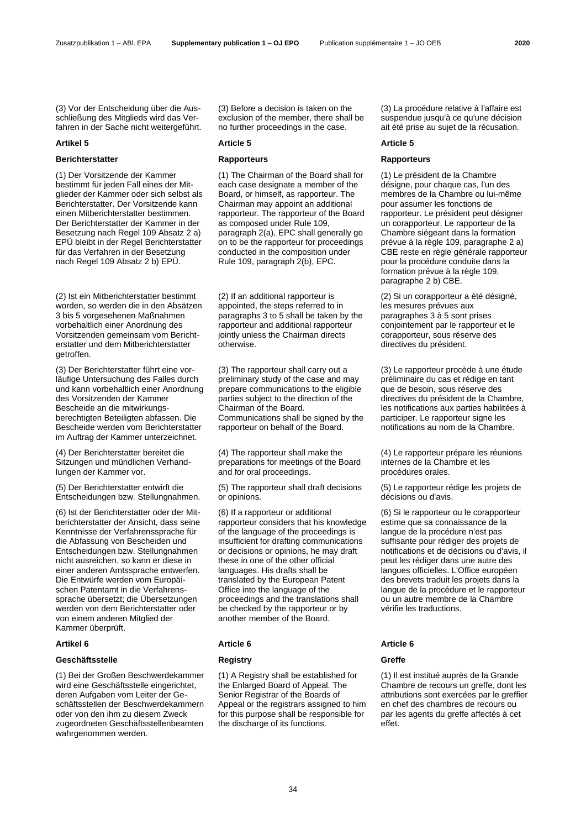(3) Vor der Entscheidung über die Ausschließung des Mitglieds wird das Verfahren in der Sache nicht weitergeführt.

### **Artikel 5 Article 5 Article 5**

### **Berichterstatter Rapporteurs Rapporteurs**

(1) Der Vorsitzende der Kammer bestimmt für jeden Fall eines der Mitglieder der Kammer oder sich selbst als Berichterstatter. Der Vorsitzende kann einen Mitberichterstatter bestimmen. Der Berichterstatter der Kammer in der Besetzung nach Regel 109 Absatz 2 a) EPÜ bleibt in der Regel Berichterstatter für das Verfahren in der Besetzung nach Regel 109 Absatz 2 b) EPÜ.

(2) Ist ein Mitberichterstatter bestimmt worden, so werden die in den Absätzen 3 bis 5 vorgesehenen Maßnahmen vorbehaltlich einer Anordnung des Vorsitzenden gemeinsam vom Berichterstatter und dem Mitberichterstatter getroffen.

(3) Der Berichterstatter führt eine vorläufige Untersuchung des Falles durch und kann vorbehaltlich einer Anordnung des Vorsitzenden der Kammer Bescheide an die mitwirkungsberechtigten Beteiligten abfassen. Die Bescheide werden vom Berichterstatter im Auftrag der Kammer unterzeichnet.

(4) Der Berichterstatter bereitet die Sitzungen und mündlichen Verhandlungen der Kammer vor.

(5) Der Berichterstatter entwirft die Entscheidungen bzw. Stellungnahmen.

(6) Ist der Berichterstatter oder der Mitberichterstatter der Ansicht, dass seine Kenntnisse der Verfahrenssprache für die Abfassung von Bescheiden und Entscheidungen bzw. Stellungnahmen nicht ausreichen, so kann er diese in einer anderen Amtssprache entwerfen. Die Entwürfe werden vom Europäischen Patentamt in die Verfahrenssprache übersetzt; die Übersetzungen werden von dem Berichterstatter oder von einem anderen Mitglied der Kammer überprüft.

### **Geschäftsstelle Registry Greffe**

(1) Bei der Großen Beschwerdekammer wird eine Geschäftsstelle eingerichtet, deren Aufgaben vom Leiter der Geschäftsstellen der Beschwerdekammern oder von den ihm zu diesem Zweck zugeordneten Geschäftsstellenbeamten wahrgenommen werden.

(3) Before a decision is taken on the exclusion of the member, there shall be no further proceedings in the case.

(1) The Chairman of the Board shall for each case designate a member of the Board, or himself, as rapporteur. The Chairman may appoint an additional rapporteur. The rapporteur of the Board as composed under Rule 109, paragraph 2(a), EPC shall generally go on to be the rapporteur for proceedings conducted in the composition under Rule 109, paragraph 2(b), EPC.

(2) If an additional rapporteur is appointed, the steps referred to in paragraphs 3 to 5 shall be taken by the rapporteur and additional rapporteur jointly unless the Chairman directs otherwise.

(3) The rapporteur shall carry out a preliminary study of the case and may prepare communications to the eligible parties subject to the direction of the Chairman of the Board. Communications shall be signed by the rapporteur on behalf of the Board.

(4) The rapporteur shall make the preparations for meetings of the Board and for oral proceedings.

(5) The rapporteur shall draft decisions or opinions.

(6) If a rapporteur or additional rapporteur considers that his knowledge of the language of the proceedings is insufficient for drafting communications or decisions or opinions, he may draft these in one of the other official languages. His drafts shall be translated by the European Patent Office into the language of the proceedings and the translations shall be checked by the rapporteur or by another member of the Board.

### **Artikel 6 Article 6 Article 6**

(1) A Registry shall be established for the Enlarged Board of Appeal. The Senior Registrar of the Boards of Appeal or the registrars assigned to him for this purpose shall be responsible for the discharge of its functions.

(3) La procédure relative à l'affaire est suspendue jusqu'à ce qu'une décision ait été prise au sujet de la récusation.

(1) Le président de la Chambre désigne, pour chaque cas, l'un des membres de la Chambre ou lui-même pour assumer les fonctions de rapporteur. Le président peut désigner un corapporteur. Le rapporteur de la Chambre siégeant dans la formation prévue à la règle 109, paragraphe 2 a) CBE reste en règle générale rapporteur pour la procédure conduite dans la formation prévue à la règle 109. paragraphe 2 b) CBE.

(2) Si un corapporteur a été désigné, les mesures prévues aux paragraphes 3 à 5 sont prises conjointement par le rapporteur et le corapporteur, sous réserve des directives du président.

(3) Le rapporteur procède à une étude préliminaire du cas et rédige en tant que de besoin, sous réserve des directives du président de la Chambre, les notifications aux parties habilitées à participer. Le rapporteur signe les notifications au nom de la Chambre.

(4) Le rapporteur prépare les réunions internes de la Chambre et les procédures orales.

(5) Le rapporteur rédige les projets de décisions ou d'avis.

(6) Si le rapporteur ou le corapporteur estime que sa connaissance de la langue de la procédure n'est pas suffisante pour rédiger des projets de notifications et de décisions ou d'avis, il peut les rédiger dans une autre des langues officielles. L'Office européen des brevets traduit les projets dans la langue de la procédure et le rapporteur ou un autre membre de la Chambre vérifie les traductions.

(1) Il est institué auprès de la Grande Chambre de recours un greffe, dont les attributions sont exercées par le greffier en chef des chambres de recours ou par les agents du greffe affectés à cet effet.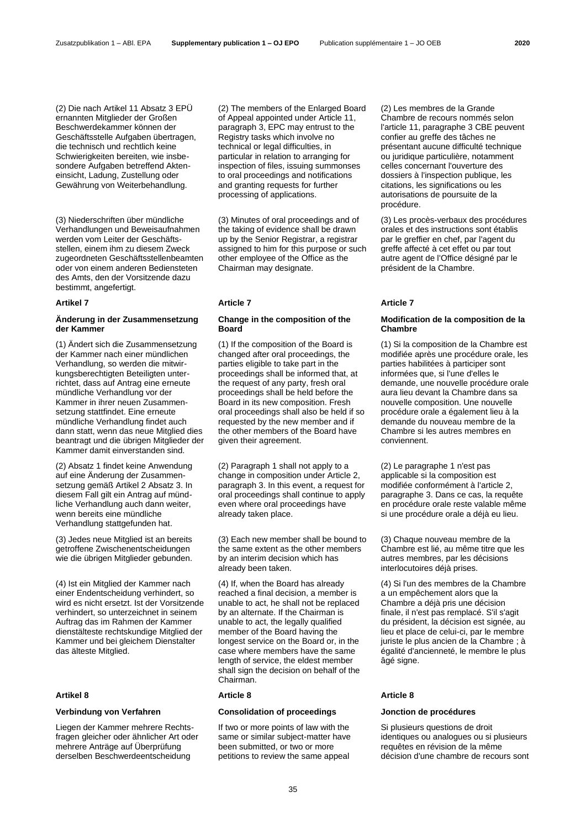(2) Die nach Artikel 11 Absatz 3 EPÜ ernannten Mitglieder der Großen Beschwerdekammer können der Geschäftsstelle Aufgaben übertragen, die technisch und rechtlich keine Schwierigkeiten bereiten, wie insbesondere Aufgaben betreffend Akteneinsicht, Ladung, Zustellung oder Gewährung von Weiterbehandlung.

(3) Niederschriften über mündliche Verhandlungen und Beweisaufnahmen werden vom Leiter der Geschäftsstellen, einem ihm zu diesem Zweck zugeordneten Geschäftsstellenbeamten oder von einem anderen Bediensteten des Amts, den der Vorsitzende dazu bestimmt, angefertigt.

## **Änderung in der Zusammensetzung der Kammer**

(1) Ändert sich die Zusammensetzung der Kammer nach einer mündlichen Verhandlung, so werden die mitwirkungsberechtigten Beteiligten unterrichtet, dass auf Antrag eine erneute mündliche Verhandlung vor der Kammer in ihrer neuen Zusammensetzung stattfindet. Eine erneute mündliche Verhandlung findet auch dann statt, wenn das neue Mitglied dies beantragt und die übrigen Mitglieder der Kammer damit einverstanden sind.

(2) Absatz 1 findet keine Anwendung auf eine Änderung der Zusammensetzung gemäß Artikel 2 Absatz 3. In diesem Fall gilt ein Antrag auf mündliche Verhandlung auch dann weiter, wenn bereits eine mündliche Verhandlung stattgefunden hat.

(3) Jedes neue Mitglied ist an bereits getroffene Zwischenentscheidungen wie die übrigen Mitglieder gebunden.

(4) Ist ein Mitglied der Kammer nach einer Endentscheidung verhindert, so wird es nicht ersetzt. Ist der Vorsitzende verhindert, so unterzeichnet in seinem Auftrag das im Rahmen der Kammer dienstälteste rechtskundige Mitglied der Kammer und bei gleichem Dienstalter das älteste Mitglied.

Liegen der Kammer mehrere Rechtsfragen gleicher oder ähnlicher Art oder mehrere Anträge auf Überprüfung derselben Beschwerdeentscheidung

(2) The members of the Enlarged Board of Appeal appointed under Article 11, paragraph 3, EPC may entrust to the Registry tasks which involve no technical or legal difficulties, in particular in relation to arranging for inspection of files, issuing summonses to oral proceedings and notifications and granting requests for further processing of applications.

(3) Minutes of oral proceedings and of the taking of evidence shall be drawn up by the Senior Registrar, a registrar assigned to him for this purpose or such other employee of the Office as the Chairman may designate.

### **Artikel 7 Article 7 Article 7**

# **Change in the composition of the Board**

(1) If the composition of the Board is changed after oral proceedings, the parties eligible to take part in the proceedings shall be informed that, at the request of any party, fresh oral proceedings shall be held before the Board in its new composition. Fresh oral proceedings shall also be held if so requested by the new member and if the other members of the Board have given their agreement.

(2) Paragraph 1 shall not apply to a change in composition under Article 2, paragraph 3. In this event, a request for oral proceedings shall continue to apply even where oral proceedings have already taken place.

(3) Each new member shall be bound to the same extent as the other members by an interim decision which has already been taken.

(4) If, when the Board has already reached a final decision, a member is unable to act, he shall not be replaced by an alternate. If the Chairman is unable to act, the legally qualified member of the Board having the longest service on the Board or, in the case where members have the same length of service, the eldest member shall sign the decision on behalf of the Chairman.

### **Artikel 8 Article 8 Article 8**

### **Verbindung von Verfahren Consolidation of proceedings Jonction de procédures**

If two or more points of law with the same or similar subject-matter have been submitted, or two or more petitions to review the same appeal

(2) Les membres de la Grande Chambre de recours nommés selon l'article 11, paragraphe 3 CBE peuvent confier au greffe des tâches ne présentant aucune difficulté technique ou juridique particulière, notamment celles concernant l'ouverture des dossiers à l'inspection publique, les citations, les significations ou les autorisations de poursuite de la procédure.

(3) Les procès-verbaux des procédures orales et des instructions sont établis par le greffier en chef, par l'agent du greffe affecté à cet effet ou par tout autre agent de l'Office désigné par le président de la Chambre.

### **Modification de la composition de la Chambre**

(1) Si la composition de la Chambre est modifiée après une procédure orale, les parties habilitées à participer sont informées que, si l'une d'elles le demande, une nouvelle procédure orale aura lieu devant la Chambre dans sa nouvelle composition. Une nouvelle procédure orale a également lieu à la demande du nouveau membre de la Chambre si les autres membres en conviennent.

(2) Le paragraphe 1 n'est pas applicable si la composition est modifiée conformément à l'article 2, paragraphe 3. Dans ce cas, la requête en procédure orale reste valable même si une procédure orale a déjà eu lieu.

(3) Chaque nouveau membre de la Chambre est lié, au même titre que les autres membres, par les décisions interlocutoires déjà prises.

(4) Si l'un des membres de la Chambre a un empêchement alors que la Chambre a déjà pris une décision finale, il n'est pas remplacé. S'il s'agit du président, la décision est signée, au lieu et place de celui-ci, par le membre juriste le plus ancien de la Chambre ; à égalité d'ancienneté, le membre le plus âgé signe.

Si plusieurs questions de droit identiques ou analogues ou si plusieurs requêtes en révision de la même décision d'une chambre de recours sont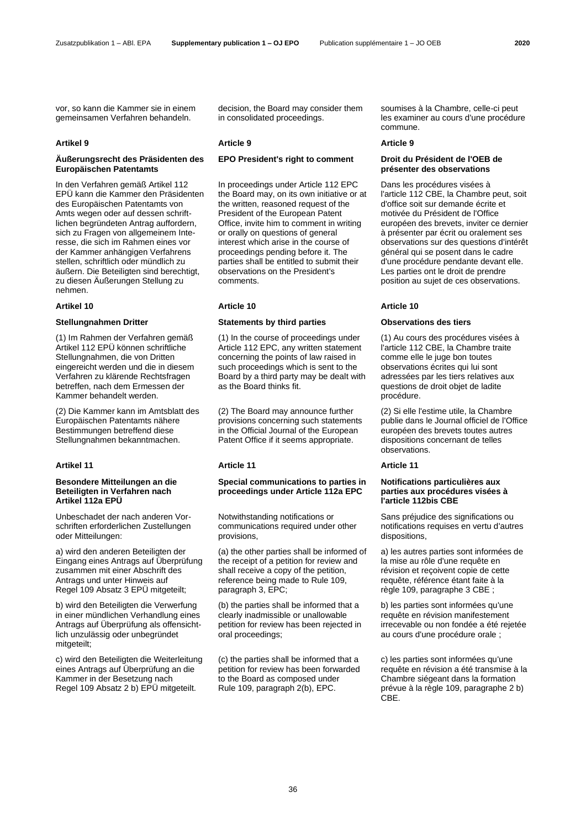vor, so kann die Kammer sie in einem gemeinsamen Verfahren behandeln.

# **Äußerungsrecht des Präsidenten des Europäischen Patentamts**

In den Verfahren gemäß Artikel 112 EPÜ kann die Kammer den Präsidenten des Europäischen Patentamts von Amts wegen oder auf dessen schriftlichen begründeten Antrag auffordern, sich zu Fragen von allgemeinem Interesse, die sich im Rahmen eines vor der Kammer anhängigen Verfahrens stellen, schriftlich oder mündlich zu äußern. Die Beteiligten sind berechtigt, zu diesen Äußerungen Stellung zu nehmen.

(1) Im Rahmen der Verfahren gemäß Artikel 112 EPÜ können schriftliche Stellungnahmen, die von Dritten eingereicht werden und die in diesem Verfahren zu klärende Rechtsfragen betreffen, nach dem Ermessen der Kammer behandelt werden.

(2) Die Kammer kann im Amtsblatt des Europäischen Patentamts nähere Bestimmungen betreffend diese Stellungnahmen bekanntmachen.

# **Besondere Mitteilungen an die Beteiligten in Verfahren nach Artikel 112a EPÜ**

Unbeschadet der nach anderen Vorschriften erforderlichen Zustellungen oder Mitteilungen:

a) wird den anderen Beteiligten der Eingang eines Antrags auf Überprüfung zusammen mit einer Abschrift des Antrags und unter Hinweis auf Regel 109 Absatz 3 EPÜ mitgeteilt;

b) wird den Beteiligten die Verwerfung in einer mündlichen Verhandlung eines Antrags auf Überprüfung als offensichtlich unzulässig oder unbegründet mitgeteilt:

c) wird den Beteiligten die Weiterleitung eines Antrags auf Überprüfung an die Kammer in der Besetzung nach Regel 109 Absatz 2 b) EPÜ mitgeteilt.

decision, the Board may consider them in consolidated proceedings.

# **Artikel 9 Article 9 Article 9**

In proceedings under Article 112 EPC the Board may, on its own initiative or at the written, reasoned request of the President of the European Patent Office, invite him to comment in writing or orally on questions of general interest which arise in the course of proceedings pending before it. The parties shall be entitled to submit their observations on the President's comments.

# **Artikel 10 Article 10 Article 10**

# **Stellungnahmen Dritter Statements by third parties Observations des tiers**

(1) In the course of proceedings under Article 112 EPC, any written statement concerning the points of law raised in such proceedings which is sent to the Board by a third party may be dealt with as the Board thinks fit.

(2) The Board may announce further provisions concerning such statements in the Official Journal of the European Patent Office if it seems appropriate.

# **Artikel 11 Article 11 Article 11**

# **Special communications to parties in proceedings under Article 112a EPC**

Notwithstanding notifications or communications required under other provisions,

(a) the other parties shall be informed of the receipt of a petition for review and shall receive a copy of the petition, reference being made to Rule 109, paragraph 3, EPC;

(b) the parties shall be informed that a clearly inadmissible or unallowable petition for review has been rejected in oral proceedings;

(c) the parties shall be informed that a petition for review has been forwarded to the Board as composed under Rule 109, paragraph 2(b), EPC.

soumises à la Chambre, celle-ci peut les examiner au cours d'une procédure commune.

# **EPO President's right to comment Droit du Président de l'OEB de présenter des observations**

Dans les procédures visées à l'article 112 CBE, la Chambre peut, soit d'office soit sur demande écrite et motivée du Président de l'Office européen des brevets, inviter ce dernier à présenter par écrit ou oralement ses observations sur des questions d'intérêt général qui se posent dans le cadre d'une procédure pendante devant elle. Les parties ont le droit de prendre position au sujet de ces observations.

(1) Au cours des procédures visées à l'article 112 CBE, la Chambre traite comme elle le juge bon toutes observations écrites qui lui sont adressées par les tiers relatives aux questions de droit objet de ladite procédure.

(2) Si elle l'estime utile, la Chambre publie dans le Journal officiel de l'Office européen des brevets toutes autres dispositions concernant de telles observations.

### **Notifications particulières aux parties aux procédures visées à l'article 112bis CBE**

Sans préjudice des significations ou notifications requises en vertu d'autres dispositions,

a) les autres parties sont informées de la mise au rôle d'une requête en révision et reçoivent copie de cette requête, référence étant faite à la règle 109, paragraphe 3 CBE ;

b) les parties sont informées qu'une requête en révision manifestement irrecevable ou non fondée a été rejetée au cours d'une procédure orale ;

c) les parties sont informées qu'une requête en révision a été transmise à la Chambre siégeant dans la formation prévue à la règle 109, paragraphe 2 b) CBE.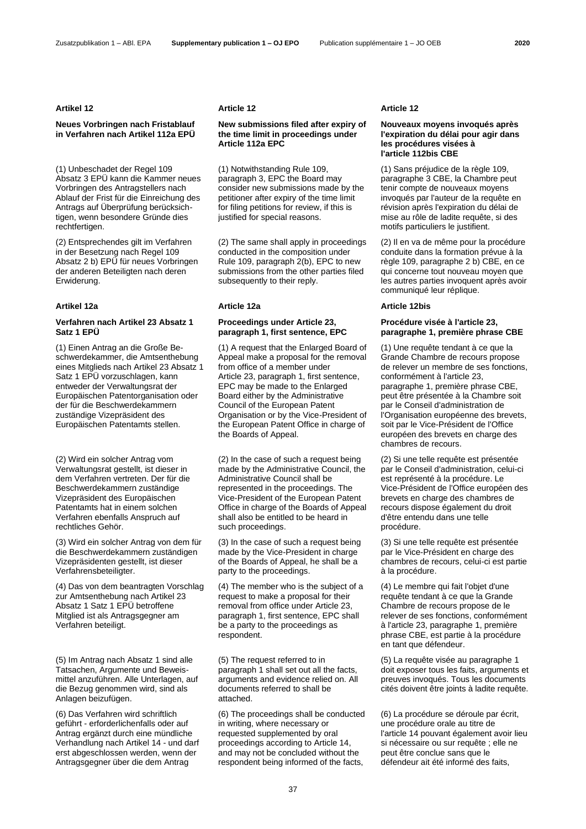### **Artikel 12 Article 12 Article 12**

# **Neues Vorbringen nach Fristablauf in Verfahren nach Artikel 112a EPÜ**

(1) Unbeschadet der Regel 109 Absatz 3 EPÜ kann die Kammer neues Vorbringen des Antragstellers nach Ablauf der Frist für die Einreichung des Antrags auf Überprüfung berücksichtigen, wenn besondere Gründe dies rechtfertigen.

(2) Entsprechendes gilt im Verfahren in der Besetzung nach Regel 109 Absatz 2 b) EPÜ für neues Vorbringen der anderen Beteiligten nach deren Erwiderung.

### **Verfahren nach Artikel 23 Absatz 1 Satz 1 EPÜ**

(1) Einen Antrag an die Große Beschwerdekammer, die Amtsenthebung eines Mitglieds nach Artikel 23 Absatz 1 Satz 1 EPÜ vorzuschlagen, kann entweder der Verwaltungsrat der Europäischen Patentorganisation oder der für die Beschwerdekammern zuständige Vizepräsident des Europäischen Patentamts stellen.

(2) Wird ein solcher Antrag vom Verwaltungsrat gestellt, ist dieser in dem Verfahren vertreten. Der für die Beschwerdekammern zuständige Vizepräsident des Europäischen Patentamts hat in einem solchen Verfahren ebenfalls Anspruch auf rechtliches Gehör.

(3) Wird ein solcher Antrag von dem für die Beschwerdekammern zuständigen Vizepräsidenten gestellt, ist dieser Verfahrensbeteiligter.

(4) Das von dem beantragten Vorschlag zur Amtsenthebung nach Artikel 23 Absatz 1 Satz 1 EPÜ betroffene Mitglied ist als Antragsgegner am Verfahren beteiligt.

(5) Im Antrag nach Absatz 1 sind alle Tatsachen, Argumente und Beweismittel anzuführen. Alle Unterlagen, auf die Bezug genommen wird, sind als Anlagen beizufügen.

(6) Das Verfahren wird schriftlich geführt - erforderlichenfalls oder auf Antrag ergänzt durch eine mündliche Verhandlung nach Artikel 14 - und darf erst abgeschlossen werden, wenn der Antragsgegner über die dem Antrag

### **New submissions filed after expiry of the time limit in proceedings under Article 112a EPC**

(1) Notwithstanding Rule 109, paragraph 3, EPC the Board may consider new submissions made by the petitioner after expiry of the time limit for filing petitions for review, if this is justified for special reasons.

(2) The same shall apply in proceedings conducted in the composition under Rule 109, paragraph 2(b), EPC to new submissions from the other parties filed subsequently to their reply.

### **Proceedings under Article 23, paragraph 1, first sentence, EPC**

(1) A request that the Enlarged Board of Appeal make a proposal for the removal from office of a member under Article 23, paragraph 1, first sentence, EPC may be made to the Enlarged Board either by the Administrative Council of the European Patent Organisation or by the Vice-President of the European Patent Office in charge of the Boards of Appeal.

(2) In the case of such a request being made by the Administrative Council, the Administrative Council shall be represented in the proceedings. The Vice-President of the European Patent Office in charge of the Boards of Appeal shall also be entitled to be heard in such proceedings.

(3) In the case of such a request being made by the Vice-President in charge of the Boards of Appeal, he shall be a party to the proceedings.

(4) The member who is the subject of a request to make a proposal for their removal from office under Article 23, paragraph 1, first sentence, EPC shall be a party to the proceedings as respondent.

(5) The request referred to in paragraph 1 shall set out all the facts, arguments and evidence relied on. All documents referred to shall be attached.

(6) The proceedings shall be conducted in writing, where necessary or requested supplemented by oral proceedings according to Article 14, and may not be concluded without the respondent being informed of the facts,

# **Nouveaux moyens invoqués après l'expiration du délai pour agir dans les procédures visées à l'article 112bis CBE**

(1) Sans préjudice de la règle 109, paragraphe 3 CBE, la Chambre peut tenir compte de nouveaux moyens invoqués par l'auteur de la requête en révision après l'expiration du délai de mise au rôle de ladite requête, si des motifs particuliers le justifient.

(2) Il en va de même pour la procédure conduite dans la formation prévue à la règle 109, paragraphe 2 b) CBE, en ce qui concerne tout nouveau moyen que les autres parties invoquent après avoir communiqué leur réplique.

# **Artikel 12a Article 12a Article 12bis**

### **Procédure visée à l'article 23, paragraphe 1, première phrase CBE**

(1) Une requête tendant à ce que la Grande Chambre de recours propose de relever un membre de ses fonctions, conformément à l'article 23, paragraphe 1, première phrase CBE, peut être présentée à la Chambre soit par le Conseil d'administration de l'Organisation européenne des brevets, soit par le Vice-Président de l'Office européen des brevets en charge des chambres de recours.

(2) Si une telle requête est présentée par le Conseil d'administration, celui-ci est représenté à la procédure. Le Vice-Président de l'Office européen des brevets en charge des chambres de recours dispose également du droit d'être entendu dans une telle procédure.

(3) Si une telle requête est présentée par le Vice-Président en charge des chambres de recours, celui-ci est partie à la procédure.

(4) Le membre qui fait l'objet d'une requête tendant à ce que la Grande Chambre de recours propose de le relever de ses fonctions, conformément à l'article 23, paragraphe 1, première phrase CBE, est partie à la procédure en tant que défendeur.

(5) La requête visée au paragraphe 1 doit exposer tous les faits, arguments et preuves invoqués. Tous les documents cités doivent être joints à ladite requête.

(6) La procédure se déroule par écrit, une procédure orale au titre de l'article 14 pouvant également avoir lieu si nécessaire ou sur requête ; elle ne peut être conclue sans que le défendeur ait été informé des faits,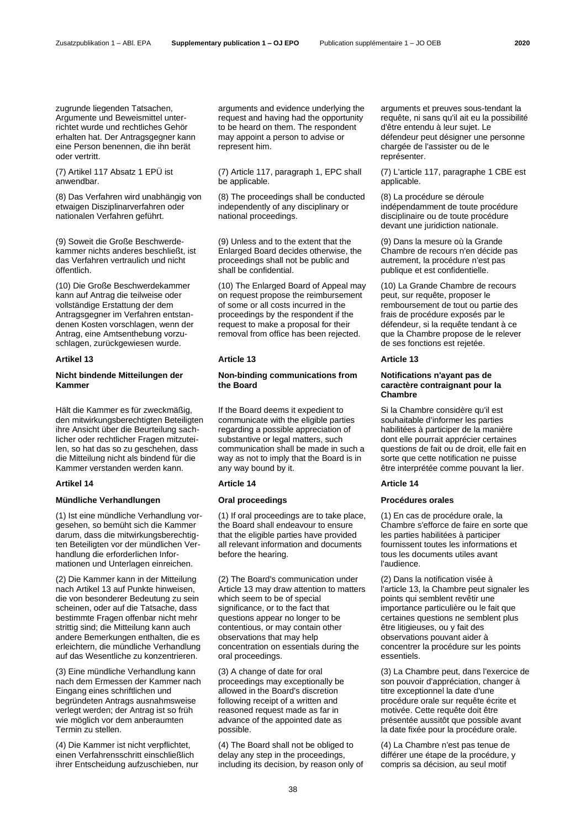zugrunde liegenden Tatsachen. Argumente und Beweismittel unterrichtet wurde und rechtliches Gehör erhalten hat. Der Antragsgegner kann eine Person benennen, die ihn berät oder vertritt.

(7) Artikel 117 Absatz 1 EPÜ ist anwendbar.

(8) Das Verfahren wird unabhängig von etwaigen Disziplinarverfahren oder nationalen Verfahren geführt.

(9) Soweit die Große Beschwerdekammer nichts anderes beschließt, ist das Verfahren vertraulich und nicht öffentlich.

(10) Die Große Beschwerdekammer kann auf Antrag die teilweise oder vollständige Erstattung der dem Antragsgegner im Verfahren entstandenen Kosten vorschlagen, wenn der Antrag, eine Amtsenthebung vorzuschlagen, zurückgewiesen wurde.

# **Nicht bindende Mitteilungen der Kammer**

Hält die Kammer es für zweckmäßig, den mitwirkungsberechtigten Beteiligten ihre Ansicht über die Beurteilung sachlicher oder rechtlicher Fragen mitzuteilen, so hat das so zu geschehen, dass die Mitteilung nicht als bindend für die Kammer verstanden werden kann.

# **Mündliche Verhandlungen Oral proceedings Procédures orales**

(1) Ist eine mündliche Verhandlung vorgesehen, so bemüht sich die Kammer darum, dass die mitwirkungsberechtigten Beteiligten vor der mündlichen Verhandlung die erforderlichen Informationen und Unterlagen einreichen.

(2) Die Kammer kann in der Mitteilung nach Artikel 13 auf Punkte hinweisen, die von besonderer Bedeutung zu sein scheinen, oder auf die Tatsache, dass bestimmte Fragen offenbar nicht mehr strittig sind; die Mitteilung kann auch andere Bemerkungen enthalten, die es erleichtern, die mündliche Verhandlung auf das Wesentliche zu konzentrieren.

(3) Eine mündliche Verhandlung kann nach dem Ermessen der Kammer nach Eingang eines schriftlichen und begründeten Antrags ausnahmsweise verlegt werden; der Antrag ist so früh wie möglich vor dem anberaumten Termin zu stellen.

(4) Die Kammer ist nicht verpflichtet, einen Verfahrensschritt einschließlich ihrer Entscheidung aufzuschieben, nur arguments and evidence underlying the request and having had the opportunity to be heard on them. The respondent may appoint a person to advise or represent him.

(7) Article 117, paragraph 1, EPC shall be applicable.

(8) The proceedings shall be conducted independently of any disciplinary or national proceedings.

(9) Unless and to the extent that the Enlarged Board decides otherwise, the proceedings shall not be public and shall be confidential.

(10) The Enlarged Board of Appeal may on request propose the reimbursement of some or all costs incurred in the proceedings by the respondent if the request to make a proposal for their removal from office has been rejected.

### **Artikel 13 Article 13 Article 13**

### **Non-binding communications from the Board**

If the Board deems it expedient to communicate with the eligible parties regarding a possible appreciation of substantive or legal matters, such communication shall be made in such a way as not to imply that the Board is in any way bound by it.

### **Artikel 14 Article 14 Article 14**

(1) If oral proceedings are to take place, the Board shall endeavour to ensure that the eligible parties have provided all relevant information and documents before the hearing.

(2) The Board's communication under Article 13 may draw attention to matters which seem to be of special significance, or to the fact that questions appear no longer to be contentious, or may contain other observations that may help concentration on essentials during the oral proceedings.

(3) A change of date for oral proceedings may exceptionally be allowed in the Board's discretion following receipt of a written and reasoned request made as far in advance of the appointed date as possible.

(4) The Board shall not be obliged to delay any step in the proceedings, including its decision, by reason only of arguments et preuves sous-tendant la requête, ni sans qu'il ait eu la possibilité d'être entendu à leur sujet. Le défendeur peut désigner une personne chargée de l'assister ou de le représenter.

(7) L'article 117, paragraphe 1 CBE est applicable.

(8) La procédure se déroule indépendamment de toute procédure disciplinaire ou de toute procédure devant une juridiction nationale.

(9) Dans la mesure où la Grande Chambre de recours n'en décide pas autrement, la procédure n'est pas publique et est confidentielle.

(10) La Grande Chambre de recours peut, sur requête, proposer le remboursement de tout ou partie des frais de procédure exposés par le défendeur, si la requête tendant à ce que la Chambre propose de le relever de ses fonctions est rejetée.

# **Notifications n'ayant pas de caractère contraignant pour la Chambre**

Si la Chambre considère qu'il est souhaitable d'informer les parties habilitées à participer de la manière dont elle pourrait apprécier certaines questions de fait ou de droit, elle fait en sorte que cette notification ne puisse être interprétée comme pouvant la lier.

(1) En cas de procédure orale, la Chambre s'efforce de faire en sorte que les parties habilitées à participer fournissent toutes les informations et tous les documents utiles avant l'audience.

(2) Dans la notification visée à l'article 13, la Chambre peut signaler les points qui semblent revêtir une importance particulière ou le fait que certaines questions ne semblent plus être litigieuses, ou y fait des observations pouvant aider à concentrer la procédure sur les points essentiels.

(3) La Chambre peut, dans l'exercice de son pouvoir d'appréciation, changer à titre exceptionnel la date d'une procédure orale sur requête écrite et motivée. Cette requête doit être présentée aussitôt que possible avant la date fixée pour la procédure orale.

(4) La Chambre n'est pas tenue de différer une étape de la procédure, y compris sa décision, au seul motif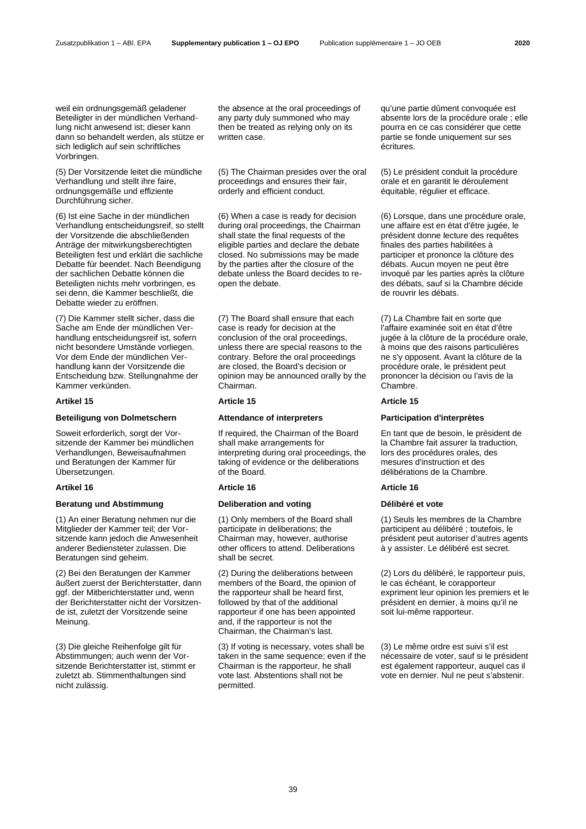weil ein ordnungsgemäß geladener Beteiligter in der mündlichen Verhandlung nicht anwesend ist; dieser kann dann so behandelt werden, als stütze er sich lediglich auf sein schriftliches Vorbringen.

(5) Der Vorsitzende leitet die mündliche Verhandlung und stellt ihre faire, ordnungsgemäße und effiziente Durchführung sicher.

(6) Ist eine Sache in der mündlichen Verhandlung entscheidungsreif, so stellt der Vorsitzende die abschließenden Anträge der mitwirkungsberechtigten Beteiligten fest und erklärt die sachliche Debatte für beendet. Nach Beendigung der sachlichen Debatte können die Beteiligten nichts mehr vorbringen, es sei denn, die Kammer beschließt, die Debatte wieder zu eröffnen.

(7) Die Kammer stellt sicher, dass die Sache am Ende der mündlichen Verhandlung entscheidungsreif ist, sofern nicht besondere Umstände vorliegen. Vor dem Ende der mündlichen Verhandlung kann der Vorsitzende die Entscheidung bzw. Stellungnahme der Kammer verkünden.

### **Artikel 15 Article 15 Article 15**

### **Beteiligung von Dolmetschern Attendance of interpreters Participation d'interprètes**

Soweit erforderlich, sorgt der Vorsitzende der Kammer bei mündlichen Verhandlungen, Beweisaufnahmen und Beratungen der Kammer für Übersetzungen.

# **Artikel 16 Article 16 Article 16**

# **Beratung und Abstimmung Deliberation and voting Délibéré et vote**

(1) An einer Beratung nehmen nur die Mitglieder der Kammer teil; der Vorsitzende kann jedoch die Anwesenheit anderer Bediensteter zulassen. Die Beratungen sind geheim.

(2) Bei den Beratungen der Kammer äußert zuerst der Berichterstatter, dann ggf. der Mitberichterstatter und, wenn der Berichterstatter nicht der Vorsitzende ist, zuletzt der Vorsitzende seine Meinung.

(3) Die gleiche Reihenfolge gilt für Abstimmungen; auch wenn der Vorsitzende Berichterstatter ist, stimmt er zuletzt ab. Stimmenthaltungen sind nicht zulässig.

the absence at the oral proceedings of any party duly summoned who may then be treated as relying only on its written case.

(5) The Chairman presides over the oral proceedings and ensures their fair, orderly and efficient conduct.

(6) When a case is ready for decision during oral proceedings, the Chairman shall state the final requests of the eligible parties and declare the debate closed. No submissions may be made by the parties after the closure of the debate unless the Board decides to reopen the debate.

(7) The Board shall ensure that each case is ready for decision at the conclusion of the oral proceedings, unless there are special reasons to the contrary. Before the oral proceedings are closed, the Board's decision or opinion may be announced orally by the Chairman.

If required, the Chairman of the Board shall make arrangements for interpreting during oral proceedings, the taking of evidence or the deliberations of the Board.

(1) Only members of the Board shall participate in deliberations; the Chairman may, however, authorise other officers to attend. Deliberations shall be secret.

(2) During the deliberations between members of the Board, the opinion of the rapporteur shall be heard first, followed by that of the additional rapporteur if one has been appointed and, if the rapporteur is not the Chairman, the Chairman's last.

(3) If voting is necessary, votes shall be taken in the same sequence; even if the Chairman is the rapporteur, he shall vote last. Abstentions shall not be permitted.

qu'une partie dûment convoquée est absente lors de la procédure orale ; elle pourra en ce cas considérer que cette partie se fonde uniquement sur ses écritures.

(5) Le président conduit la procédure orale et en garantit le déroulement équitable, régulier et efficace.

(6) Lorsque, dans une procédure orale, une affaire est en état d'être jugée, le président donne lecture des requêtes finales des parties habilitées à participer et prononce la clôture des débats. Aucun moyen ne peut être invoqué par les parties après la clôture des débats, sauf si la Chambre décide de rouvrir les débats.

(7) La Chambre fait en sorte que l'affaire examinée soit en état d'être jugée à la clôture de la procédure orale, à moins que des raisons particulières ne s'y opposent. Avant la clôture de la procédure orale, le président peut prononcer la décision ou l'avis de la Chambre.

En tant que de besoin, le président de la Chambre fait assurer la traduction, lors des procédures orales, des mesures d'instruction et des délibérations de la Chambre.

(1) Seuls les membres de la Chambre participent au délibéré ; toutefois, le président peut autoriser d'autres agents à y assister. Le délibéré est secret.

(2) Lors du délibéré, le rapporteur puis, le cas échéant, le corapporteur expriment leur opinion les premiers et le président en dernier, à moins qu'il ne soit lui-même rapporteur.

(3) Le même ordre est suivi s'il est nécessaire de voter, sauf si le président est également rapporteur, auquel cas il vote en dernier. Nul ne peut s'abstenir.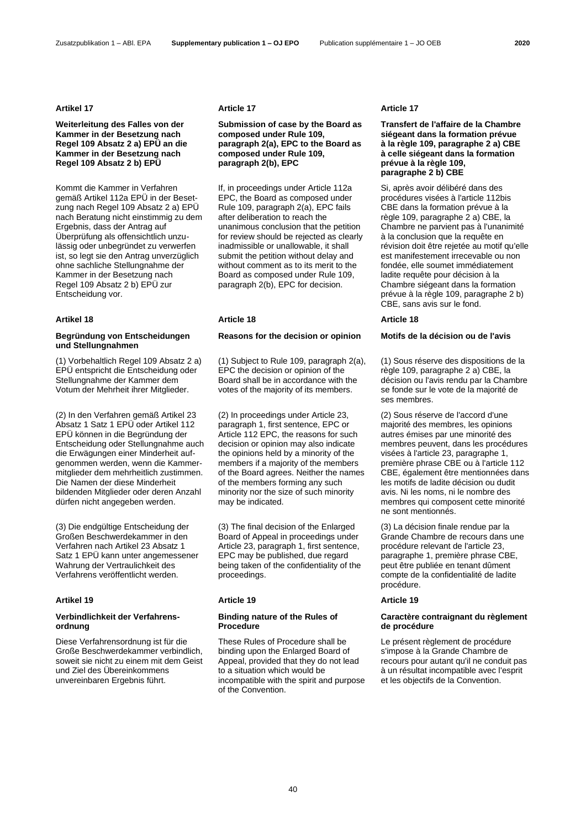### Zusatzpublikation 1 – ABl. EPA **Supplementary publication 1 – OJ EPO** Publication supplémentaire 1 – JO OEB **2020**

# **Weiterleitung des Falles von der Kammer in der Besetzung nach Regel 109 Absatz 2 a) EPÜ an die Kammer in der Besetzung nach Regel 109 Absatz 2 b) EPÜ**

Kommt die Kammer in Verfahren gemäß Artikel 112a EPÜ in der Besetzung nach Regel 109 Absatz 2 a) EPÜ nach Beratung nicht einstimmig zu dem Ergebnis, dass der Antrag auf Überprüfung als offensichtlich unzulässig oder unbegründet zu verwerfen ist, so legt sie den Antrag unverzüglich ohne sachliche Stellungnahme der Kammer in der Besetzung nach Regel 109 Absatz 2 b) EPÜ zur Entscheidung vor.

# **Begründung von Entscheidungen und Stellungnahmen**

(1) Vorbehaltlich Regel 109 Absatz 2 a) EPÜ entspricht die Entscheidung oder Stellungnahme der Kammer dem Votum der Mehrheit ihrer Mitglieder.

(2) In den Verfahren gemäß Artikel 23 Absatz 1 Satz 1 EPÜ oder Artikel 112 EPÜ können in die Begründung der Entscheidung oder Stellungnahme auch die Erwägungen einer Minderheit aufgenommen werden, wenn die Kammermitglieder dem mehrheitlich zustimmen. Die Namen der diese Minderheit bildenden Mitglieder oder deren Anzahl dürfen nicht angegeben werden.

(3) Die endgültige Entscheidung der Großen Beschwerdekammer in den Verfahren nach Artikel 23 Absatz 1 Satz 1 EPÜ kann unter angemessener Wahrung der Vertraulichkeit des Verfahrens veröffentlicht werden.

# **Verbindlichkeit der Verfahrensordnung**

Diese Verfahrensordnung ist für die Große Beschwerdekammer verbindlich, soweit sie nicht zu einem mit dem Geist und Ziel des Übereinkommens unvereinbaren Ergebnis führt.

### **Artikel 17 Article 17 Article 17**

### **Submission of case by the Board as composed under Rule 109, paragraph 2(a), EPC to the Board as composed under Rule 109, paragraph 2(b), EPC**

If, in proceedings under Article 112a EPC, the Board as composed under Rule 109, paragraph 2(a), EPC fails after deliberation to reach the unanimous conclusion that the petition for review should be rejected as clearly inadmissible or unallowable, it shall submit the petition without delay and without comment as to its merit to the Board as composed under Rule 109, paragraph 2(b), EPC for decision.

### **Artikel 18 Article 18 Article 18**

# **Reasons for the decision or opinion Motifs de la décision ou de l'avis**

(1) Subject to Rule 109, paragraph 2(a), EPC the decision or opinion of the Board shall be in accordance with the votes of the majority of its members.

(2) In proceedings under Article 23, paragraph 1, first sentence, EPC or Article 112 EPC, the reasons for such decision or opinion may also indicate the opinions held by a minority of the members if a majority of the members of the Board agrees. Neither the names of the members forming any such minority nor the size of such minority may be indicated.

(3) The final decision of the Enlarged Board of Appeal in proceedings under Article 23, paragraph 1, first sentence, EPC may be published, due regard being taken of the confidentiality of the proceedings.

### **Artikel 19 Article 19 Article 19**

### **Binding nature of the Rules of Procedure**

These Rules of Procedure shall be binding upon the Enlarged Board of Appeal, provided that they do not lead to a situation which would be incompatible with the spirit and purpose of the Convention.

### **Transfert de l'affaire de la Chambre siégeant dans la formation prévue à la règle 109, paragraphe 2 a) CBE à celle siégeant dans la formation prévue à la règle 109, paragraphe 2 b) CBE**

Si, après avoir délibéré dans des procédures visées à l'article 112bis CBE dans la formation prévue à la règle 109, paragraphe 2 a) CBE, la Chambre ne parvient pas à l'unanimité à la conclusion que la requête en révision doit être rejetée au motif qu'elle est manifestement irrecevable ou non fondée, elle soumet immédiatement ladite requête pour décision à la Chambre siégeant dans la formation prévue à la règle 109, paragraphe 2 b) CBE, sans avis sur le fond.

(1) Sous réserve des dispositions de la règle 109, paragraphe 2 a) CBE, la décision ou l'avis rendu par la Chambre se fonde sur le vote de la majorité de ses membres.

(2) Sous réserve de l'accord d'une majorité des membres, les opinions autres émises par une minorité des membres peuvent, dans les procédures visées à l'article 23, paragraphe 1, première phrase CBE ou à l'article 112 CBE, également être mentionnées dans les motifs de ladite décision ou dudit avis. Ni les noms, ni le nombre des membres qui composent cette minorité ne sont mentionnés.

(3) La décision finale rendue par la Grande Chambre de recours dans une procédure relevant de l'article 23, paragraphe 1, première phrase CBE, peut être publiée en tenant dûment compte de la confidentialité de ladite procédure.

### **Caractère contraignant du règlement de procédure**

Le présent règlement de procédure s'impose à la Grande Chambre de recours pour autant qu'il ne conduit pas à un résultat incompatible avec l'esprit et les objectifs de la Convention.